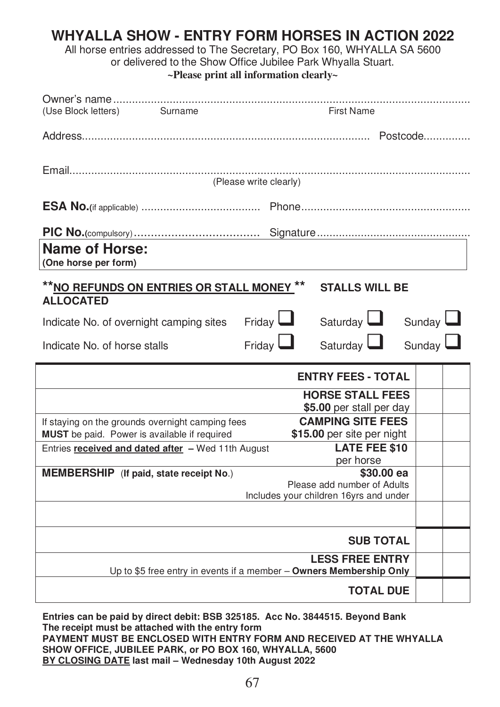## **WHYALLA SHOW - ENTRY FORM HORSES IN ACTION 2022**

All horse entries addressed to The Secretary, PO Box 160, WHYALLA SA 5600

or delivered to the Show Office Jubilee Park Whyalla Stuart.

**~Please print all information clearly~** 

| (Use Block letters)<br>Surname                                                                          | <b>First Name</b>                                                                               |  |  |  |  |  |
|---------------------------------------------------------------------------------------------------------|-------------------------------------------------------------------------------------------------|--|--|--|--|--|
|                                                                                                         |                                                                                                 |  |  |  |  |  |
| (Please write clearly)                                                                                  |                                                                                                 |  |  |  |  |  |
|                                                                                                         |                                                                                                 |  |  |  |  |  |
|                                                                                                         |                                                                                                 |  |  |  |  |  |
| <b>Name of Horse:</b><br>(One horse per form)                                                           |                                                                                                 |  |  |  |  |  |
| ** <u>NO REFUNDS ON ENTRIES OR STALL MONEY</u> **<br><b>ALLOCATED</b>                                   | <b>STALLS WILL BE</b>                                                                           |  |  |  |  |  |
| Indicate No. of overnight camping sites                                                                 | Friday $\Box$<br>Saturday <b>L</b><br>Sunday $\Box$                                             |  |  |  |  |  |
| Indicate No. of horse stalls                                                                            | Saturday $\Box$<br>Finday<br>Sunday $\Box$                                                      |  |  |  |  |  |
|                                                                                                         | <b>ENTRY FEES - TOTAL</b>                                                                       |  |  |  |  |  |
|                                                                                                         | <b>HORSE STALL FEES</b><br>\$5.00 per stall per day                                             |  |  |  |  |  |
| If staying on the grounds overnight camping fees<br><b>MUST</b> be paid. Power is available if required | <b>CAMPING SITE FEES</b><br>\$15.00 per site per night                                          |  |  |  |  |  |
| Entries <b>received and dated after</b> - Wed 11th August                                               | <b>LATE FEE \$10</b><br>per horse                                                               |  |  |  |  |  |
| <b>MEMBERSHIP</b> (If paid, state receipt No.)                                                          | \$30.00 ea<br>Please add number of Adults                                                       |  |  |  |  |  |
|                                                                                                         | Includes your children 16yrs and under                                                          |  |  |  |  |  |
|                                                                                                         | <b>SUB TOTAL</b>                                                                                |  |  |  |  |  |
|                                                                                                         | <b>LESS FREE ENTRY</b><br>Up to \$5 free entry in events if a member $-$ Owners Membership Only |  |  |  |  |  |
|                                                                                                         | <b>TOTAL DUE</b>                                                                                |  |  |  |  |  |

**Entries can be paid by direct debit: BSB 325185. Acc No. 3844515. Beyond Bank The receipt must be attached with the entry form PAYMENT MUST BE ENCLOSED WITH ENTRY FORM AND RECEIVED AT THE WHYALLA SHOW OFFICE, JUBILEE PARK, or PO BOX 160, WHYALLA, 5600 BY CLOSING DATE last mail – Wednesday 10th August 2022**